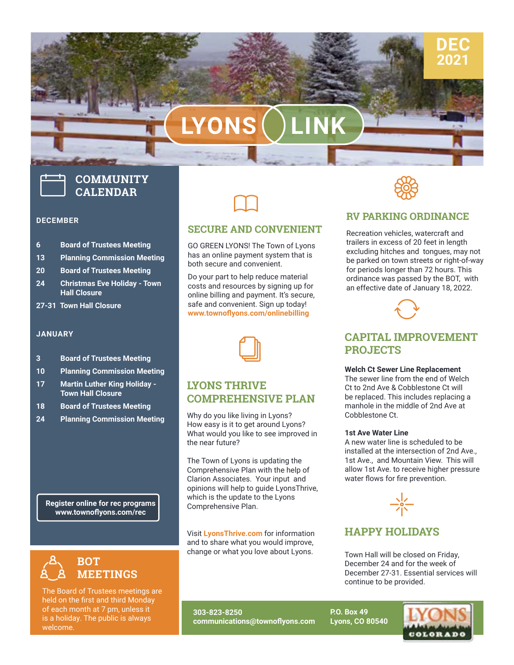# **LYONS LINK**

## **COMMUNITY CALENDAR**

#### **DECEMBER**

- **6 Board of Trustees Meeting**
- **13 Planning Commission Meeting**
- **20 Board of Trustees Meeting**
- **24 Christmas Eve Holiday Town Hall Closure**
- **27-31 Town Hall Closure**

#### **JANUARY**

- **3 Board of Trustees Meeting**
- **10 Planning Commission Meeting**
- **17 Martin Luther King Holiday Town Hall Closure**
- **18 Board of Trustees Meeting**
- **24 Planning Commission Meeting**

**Register online for rec programs www.townoflyons.com/rec**



The Board of Trustees meetings are held on the first and third Monday of each month at 7 pm, unless it is a holiday. The public is always welcome.

#### **SECURE AND CONVENIENT**

 $\Box$ 

GO GREEN LYONS! The Town of Lyons has an online payment system that is both secure and convenient.

Do your part to help reduce material costs and resources by signing up for online billing and payment. It's secure, safe and convenient. Sign up today! **[www.townoflyons.com/onlinebilling](http://www.townoflyons.com/onlinebilling)**



#### **LYONS THRIVE COMPREHENSIVE PLAN**

Why do you like living in Lyons? How easy is it to get around Lyons? What would you like to see improved in the near future?

The Town of Lyons is updating the Comprehensive Plan with the help of Clarion Associates. Your input and opinions will help to guide LyonsThrive, which is the update to the Lyons Comprehensive Plan.

and to share what you would improve, t Lyons<sup>-</sup><br>to shar Visit **[LyonsThrive.com](https://lyonsthrive.com/)** for information change or what you love about Lyons.



**DEC 2021**

#### **RV PARKING ORDINANCE**

Recreation vehicles, watercraft and trailers in excess of 20 feet in length excluding hitches and tongues, may not be parked on town streets or right-of-way for periods longer than 72 hours. This ordinance was passed by the BOT, with an effective date of January 18, 2022.



#### **CAPITAL IMPROVEMENT PROJECTS**

#### **Welch Ct Sewer Line Replacement**

The sewer line from the end of Welch Ct to 2nd Ave & Cobblestone Ct will be replaced. This includes replacing a manhole in the middle of 2nd Ave at Cobblestone Ct.

#### **1st Ave Water Line**

A new water line is scheduled to be installed at the intersection of 2nd Ave., 1st Ave., and Mountain View. This will allow 1st Ave. to receive higher pressure water flows for fire prevention.



### **HAPPY HOLIDAYS**

Town Hall will be closed on Friday, December 24 and for the week of December 27-31. Essential services will continue to be provided.

**303-823-8250 communications@townoflyons.com** **P.O. Box 49 Lyons, CO 80540**